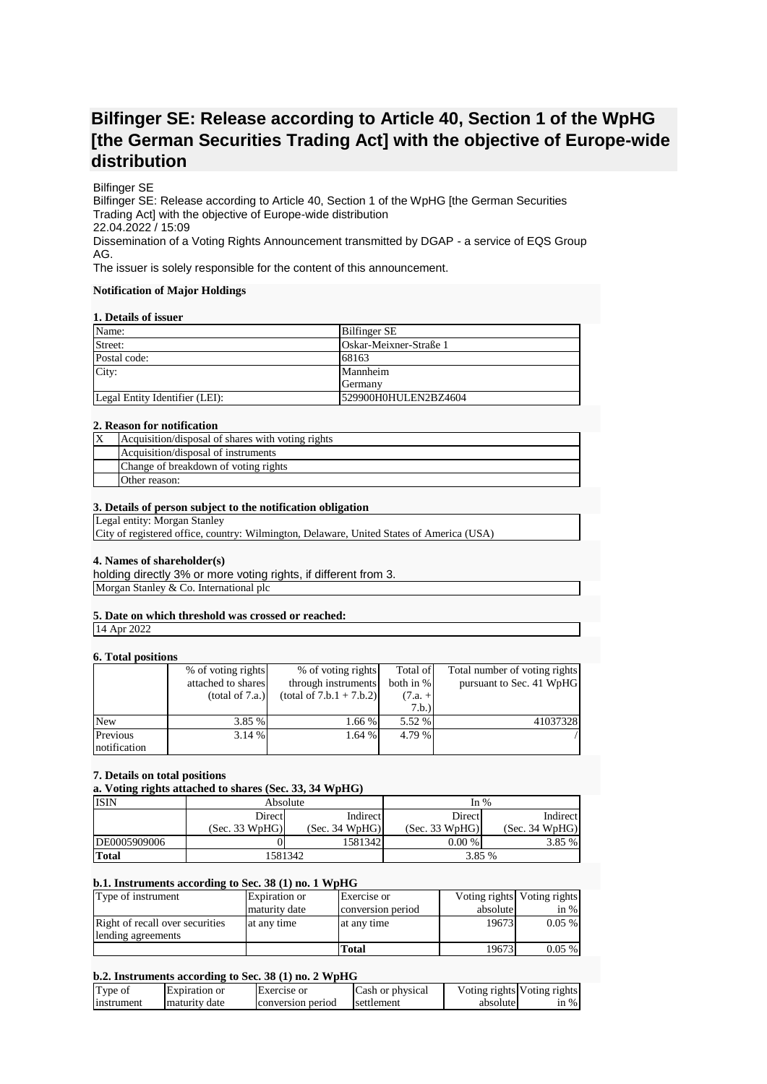# **Bilfinger SE: Release according to Article 40, Section 1 of the WpHG [the German Securities Trading Act] with the objective of Europe-wide distribution**

## Bilfinger SE

Bilfinger SE: Release according to Article 40, Section 1 of the WpHG [the German Securities Trading Act] with the objective of Europe-wide distribution 22.04.2022 / 15:09 Dissemination of a Voting Rights Announcement transmitted by DGAP - a service of EQS Group AG.

The issuer is solely responsible for the content of this announcement.

#### **Notification of Major Holdings**

## **1. Details of issuer**

| Name:                          | Bilfinger SE           |
|--------------------------------|------------------------|
| Street:                        | Oskar-Meixner-Straße 1 |
| Postal code:                   | 68163                  |
| City:                          | Mannheim               |
|                                | Germany                |
| Legal Entity Identifier (LEI): | 529900H0HULEN2BZ4604   |

## **2. Reason for notification**

| Acquisition/disposal of shares with voting rights |
|---------------------------------------------------|
| Acquisition/disposal of instruments               |
| Change of breakdown of voting rights              |
| Other reason:                                     |

## **3. Details of person subject to the notification obligation**

Legal entity: Morgan Stanley

City of registered office, country: Wilmington, Delaware, United States of America (USA)

## **4. Names of shareholder(s)**

holding directly 3% or more voting rights, if different from 3. Morgan Stanley & Co. International plc

# **5. Date on which threshold was crossed or reached:**

14 Apr 2022

# **6. Total positions**

| $\mathbf{v}$ . Toval populacija |                    |                            |             |                               |
|---------------------------------|--------------------|----------------------------|-------------|-------------------------------|
|                                 | % of voting rights | % of voting rights         | Total of    | Total number of voting rights |
|                                 | attached to shares | through instruments        | both in $%$ | pursuant to Sec. 41 WpHG      |
|                                 | (total of 7.a.)    | $(total of 7.b.1 + 7.b.2)$ | $(7.a. +$   |                               |
|                                 |                    |                            | 7.b.)       |                               |
| <b>New</b>                      | 3.85 %             | 1.66 %                     | 5.52 %      | 41037328                      |
| Previous                        | 3.14 %             | 1.64 %                     | 4.79 %      |                               |
| notification                    |                    |                            |             |                               |

## **7. Details on total positions**

**a. Voting rights attached to shares (Sec. 33, 34 WpHG)**

| <b>ISIN</b>  | Absolute       |                | In $%$         |                |
|--------------|----------------|----------------|----------------|----------------|
|              | Direct         | Indirect       | Direct         | Indirect       |
|              | (Sec. 33 WpHG) | (Sec. 34 WpHG) | (Sec. 33 WpHG) | (Sec. 34 WpHG) |
| DE0005909006 |                | 15813421       | $0.00\%$       | 3.85 %         |
| Total        | 1581342        |                | 3.85 %         |                |

#### **b.1. Instruments according to Sec. 38 (1) no. 1 WpHG**

| Type of instrument              | Expiration or | Exercise or       |          | Voting rights Voting rights |
|---------------------------------|---------------|-------------------|----------|-----------------------------|
|                                 | maturity date | conversion period | absolute | in $%$                      |
| Right of recall over securities | at any time   | at any time       | 19673    | $0.05\%$                    |
| lending agreements              |               |                   |          |                             |
|                                 |               | Total             | 19673    | $0.05\%$                    |

# **b.2. Instruments according to Sec. 38 (1) no. 2 WpHG**

| Type of    | Expiration or   | Exercise or       | Cash or physical |          | Voting rights Voting rights |
|------------|-----------------|-------------------|------------------|----------|-----------------------------|
| instrument | I maturity date | conversion period | settlement       | absolute | $\sin \%$                   |